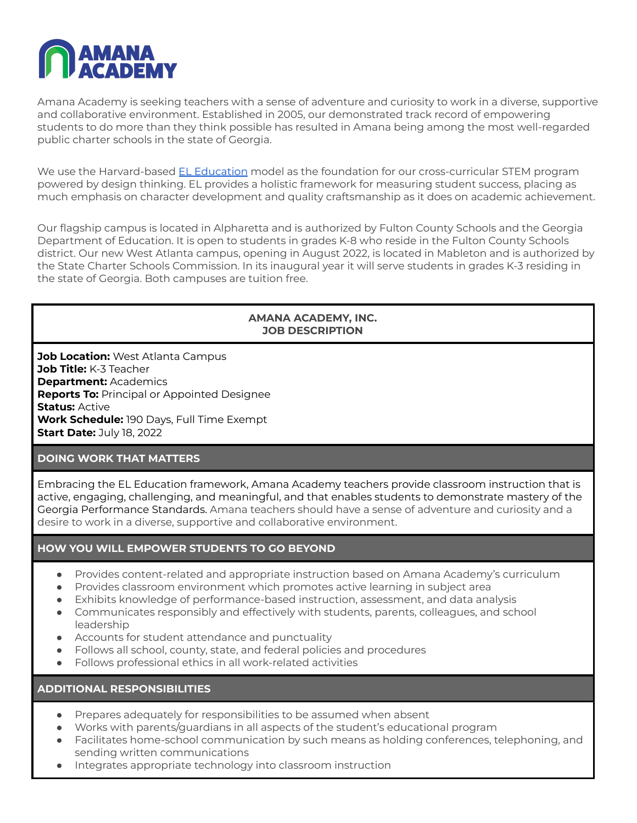

Amana Academy is seeking teachers with a sense of adventure and curiosity to work in a diverse, supportive and collaborative environment. Established in 2005, our demonstrated track record of empowering students to do more than they think possible has resulted in Amana being among the most well-regarded public charter schools in the state of Georgia.

We use the Harvard-based EL [Education](https://eleducation.org/) model as the foundation for our cross-curricular STEM program powered by design thinking. EL provides a holistic framework for measuring student success, placing as much emphasis on character development and quality craftsmanship as it does on academic achievement.

Our flagship campus is located in Alpharetta and is authorized by Fulton County Schools and the Georgia Department of Education. It is open to students in grades K-8 who reside in the Fulton County Schools district. Our new West Atlanta campus, opening in August 2022, is located in Mableton and is authorized by the State Charter Schools Commission. In its inaugural year it will serve students in grades K-3 residing in the state of Georgia. Both campuses are tuition free.

## **AMANA ACADEMY, INC. JOB DESCRIPTION**

**Job Location:** West Atlanta Campus **Job Title:** K-3 Teacher **Department:** Academics **Reports To:** Principal or Appointed Designee **Status:** Active **Work Schedule:** 190 Days, Full Time Exempt **Start Date:** July 18, 2022

## **DOING WORK THAT MATTERS**

Embracing the EL Education framework, Amana Academy teachers provide classroom instruction that is active, engaging, challenging, and meaningful, and that enables students to demonstrate mastery of the Georgia Performance Standards. Amana teachers should have a sense of adventure and curiosity and a desire to work in a diverse, supportive and collaborative environment.

# **HOW YOU WILL EMPOWER STUDENTS TO GO BEYOND**

- Provides content-related and appropriate instruction based on Amana Academy's curriculum
- Provides classroom environment which promotes active learning in subject area
- Exhibits knowledge of performance-based instruction, assessment, and data analysis
- Communicates responsibly and effectively with students, parents, colleagues, and school leadership
- Accounts for student attendance and punctuality
- Follows all school, county, state, and federal policies and procedures
- Follows professional ethics in all work-related activities

**ADDITIONAL RESPONSIBILITIES**

- Prepares adequately for responsibilities to be assumed when absent
- Works with parents/guardians in all aspects of the student's educational program
- Facilitates home-school communication by such means as holding conferences, telephoning, and sending written communications
- Integrates appropriate technology into classroom instruction